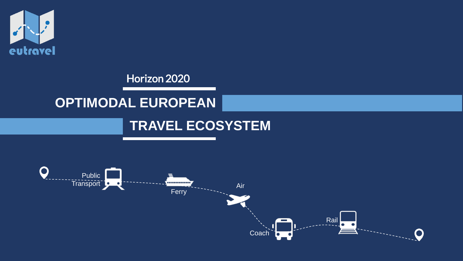

#### Horizon 2020

## **OPTIMODAL EUROPEAN**

### **TRAVEL ECOSYSTEM**

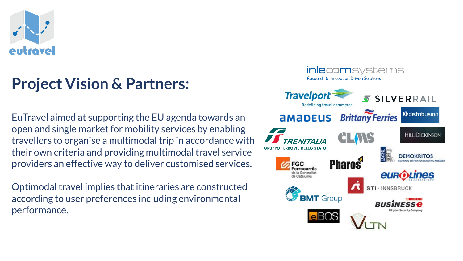

# **Project Vision & Partners:**

EuTravel aimed at supporting the EU agenda towards an open and single market for mobility services by enabling travellers to organise a multimodal trip in accordance with their own criteria and providing multimodal travel service providers an effective way to deliver customised services.

Optimodal travel implies that itineraries are constructed according to user preferences including environmental performance.

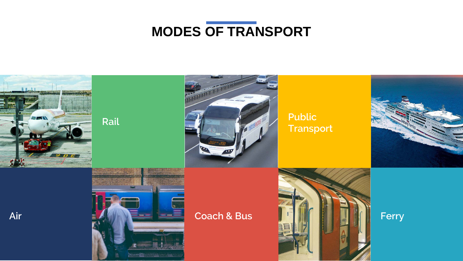

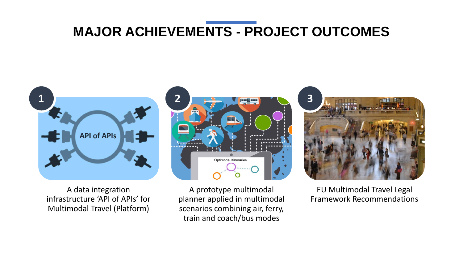### **MAJOR ACHIEVEMENTS - PROJECT OUTCOMES**



A data integration infrastructure 'API of APIs' for Multimodal Travel (Platform)

A prototype multimodal planner applied in multimodal scenarios combining air, ferry, train and coach/bus modes

**TA** 

Optimodal Itineraries



EU Multimodal Travel Legal Framework Recommendations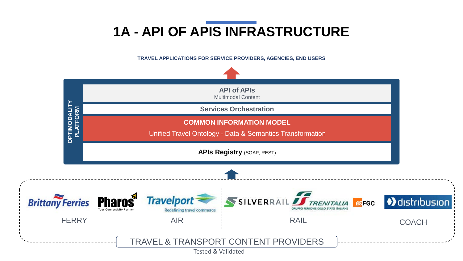# **1A - API OF APIS INFRASTRUCTURE**

**TRAVEL APPLICATIONS FOR SERVICE PROVIDERS, AGENCIES, END USERS** 

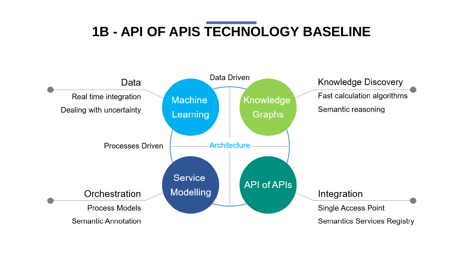# **1B - API OF APIS TECHNOLOGY BASELINE**

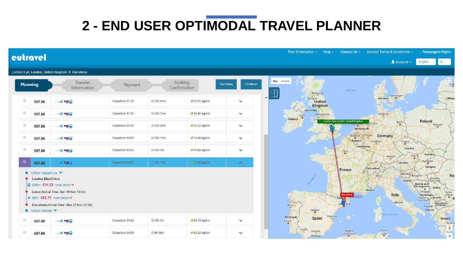# **2 - END USER OPTIMODAL TRAVEL PLANNER**